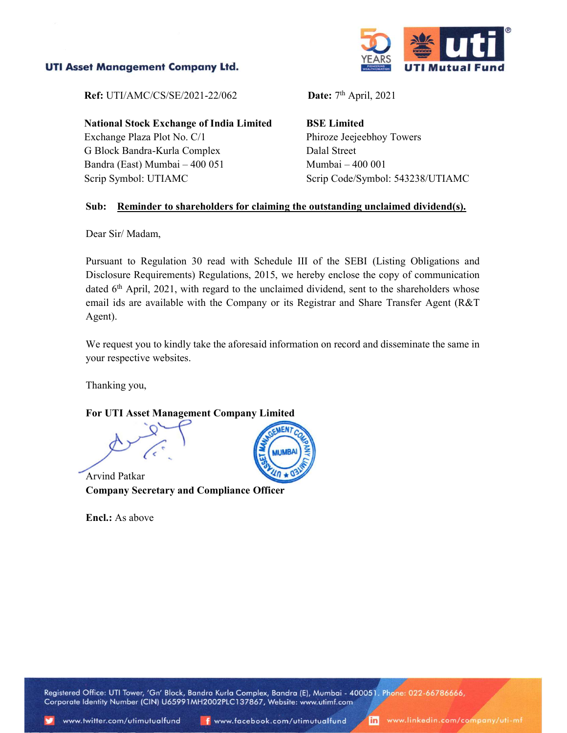## **UTI Asset Management Company Ltd.**



**Ref:** UTI/AMC/CS/SE/2021-22/062 **Date:**  $7<sup>th</sup>$  April, 2021

National Stock Exchange of India Limited Exchange Plaza Plot No. C/1 G Block Bandra-Kurla Complex Bandra (East) Mumbai – 400 051 Scrip Symbol: UTIAMC

BSE Limited Phiroze Jeejeebhoy Towers Dalal Street Mumbai – 400 001 Scrip Code/Symbol: 543238/UTIAMC

### Sub: Reminder to shareholders for claiming the outstanding unclaimed dividend(s).

Dear Sir/ Madam,

 Pursuant to Regulation 30 read with Schedule III of the SEBI (Listing Obligations and Disclosure Requirements) Regulations, 2015, we hereby enclose the copy of communication dated 6<sup>th</sup> April, 2021, with regard to the unclaimed dividend, sent to the shareholders whose email ids are available with the Company or its Registrar and Share Transfer Agent (R&T Agent).

 We request you to kindly take the aforesaid information on record and disseminate the same in your respective websites.

Thanking you,

## For UTI Asset Management Company Limited

Arvind Patkar Company Secretary and Compliance Officer

Encl.: As above



Registered Office: UTI Tower, 'Gn' Block, Bandra Kurla Complex, Bandra (E), Mumbai - 400051. Phone: 022-66786666, Corporate Identity Number (CIN) U65991MH2002PLC137867, Website: www.utimf.com

in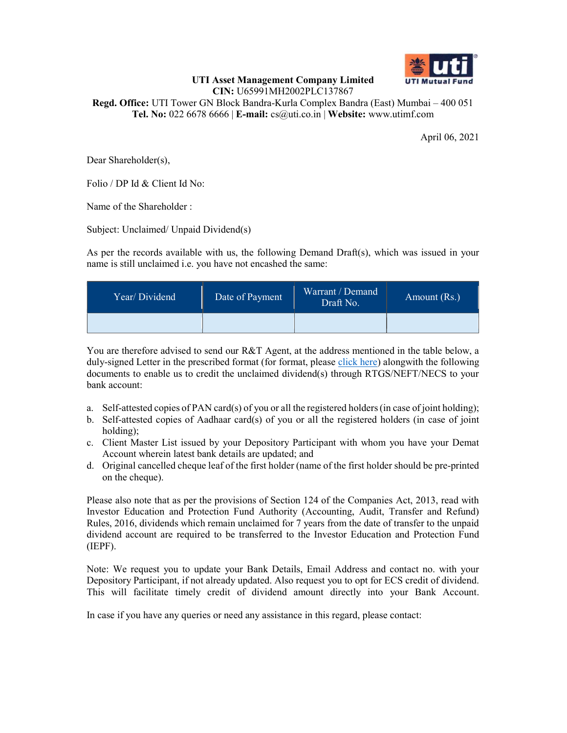

#### UTI Asset Management Company Limited CIN: U65991MH2002PLC137867

Regd. Office: UTI Tower GN Block Bandra-Kurla Complex Bandra (East) Mumbai – 400 051 Tel. No: 022 6678 6666 | E-mail: cs@uti.co.in | Website: www.utimf.com

April 06, 2021

Dear Shareholder(s),

Folio / DP Id & Client Id No:

Name of the Shareholder :

Subject: Unclaimed/ Unpaid Dividend(s)

As per the records available with us, the following Demand Draft(s), which was issued in your name is still unclaimed i.e. you have not encashed the same:

| Year/Dividend | Date of Payment | Warrant / Demand<br>Draft No. | Amount (Rs.) |
|---------------|-----------------|-------------------------------|--------------|
|               |                 |                               |              |

You are therefore advised to send our R&T Agent, at the address mentioned in the table below, a duly-signed Letter in the prescribed format (for format, please click here) alongwith the following documents to enable us to credit the unclaimed dividend(s) through RTGS/NEFT/NECS to your bank account:

- a. Self-attested copies of PAN card(s) of you or all the registered holders (in case of joint holding);
- b. Self-attested copies of Aadhaar card(s) of you or all the registered holders (in case of joint holding);
- c. Client Master List issued by your Depository Participant with whom you have your Demat Account wherein latest bank details are updated; and
- d. Original cancelled cheque leaf of the first holder (name of the first holder should be pre-printed on the cheque).

Please also note that as per the provisions of Section 124 of the Companies Act, 2013, read with Investor Education and Protection Fund Authority (Accounting, Audit, Transfer and Refund) Rules, 2016, dividends which remain unclaimed for 7 years from the date of transfer to the unpaid dividend account are required to be transferred to the Investor Education and Protection Fund (IEPF).

Note: We request you to update your Bank Details, Email Address and contact no. with your Depository Participant, if not already updated. Also request you to opt for ECS credit of dividend. This will facilitate timely credit of dividend amount directly into your Bank Account.

In case if you have any queries or need any assistance in this regard, please contact: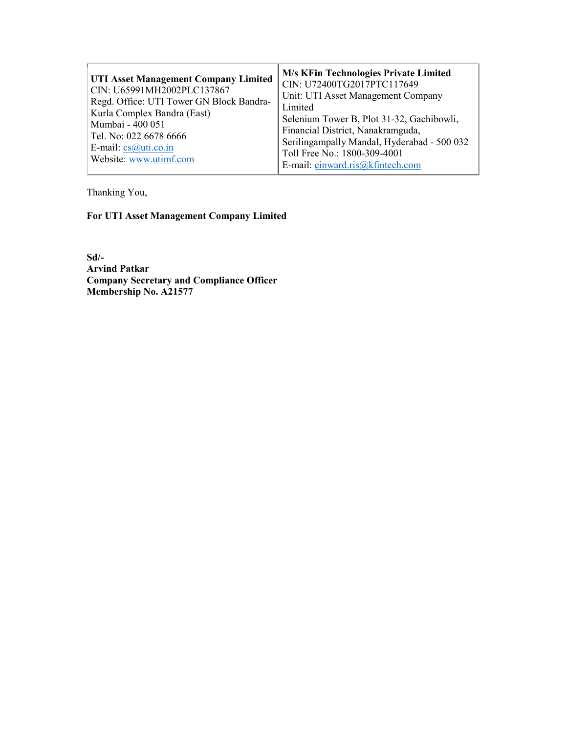| <b>UTI Asset Management Company Limited</b><br>CIN: U65991MH2002PLC137867<br>Regd. Office: UTI Tower GN Block Bandra-<br>Kurla Complex Bandra (East)<br>Mumbai - 400 051<br>Tel. No: 022 6678 6666<br>E-mail: $cs@uti.co.in$<br>Website: www.utimf.com | <b>M/s KFin Technologies Private Limited</b><br>CIN: U72400TG2017PTC117649<br>Unit: UTI Asset Management Company<br>Limited<br>Selenium Tower B, Plot 31-32, Gachibowli,<br>Financial District, Nanakramguda,<br>Serilingampally Mandal, Hyderabad - 500 032<br>Toll Free No.: 1800-309-4001<br>E-mail: einward.ris@kfintech.com |
|--------------------------------------------------------------------------------------------------------------------------------------------------------------------------------------------------------------------------------------------------------|----------------------------------------------------------------------------------------------------------------------------------------------------------------------------------------------------------------------------------------------------------------------------------------------------------------------------------|
|--------------------------------------------------------------------------------------------------------------------------------------------------------------------------------------------------------------------------------------------------------|----------------------------------------------------------------------------------------------------------------------------------------------------------------------------------------------------------------------------------------------------------------------------------------------------------------------------------|

Thanking You,

# For UTI Asset Management Company Limited

Sd/- Arvind Patkar Company Secretary and Compliance Officer Membership No. A21577